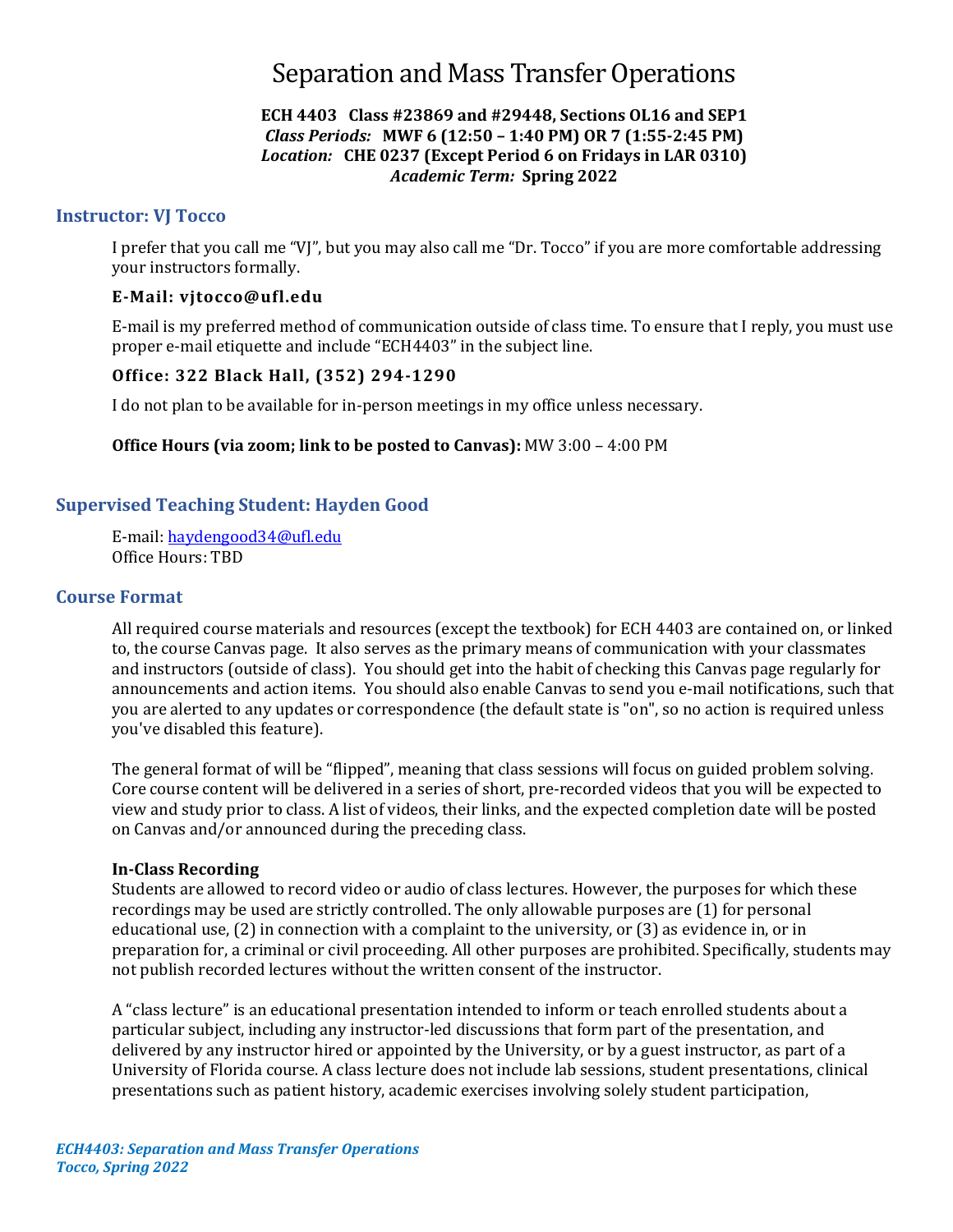# Separation and Mass Transfer Operations

### **ECH 4403 Class #23869 and #29448, Sections OL16 and SEP1** *Class Periods:* **MWF 6 (12:50 – 1:40 PM) OR 7 (1:55-2:45 PM)** *Location:* **CHE 0237 (Except Period 6 on Fridays in LAR 0310)** *Academic Term:* **Spring 2022**

### **Instructor: VJ Tocco**

I prefer that you call me "VJ", but you may also call me "Dr. Tocco" if you are more comfortable addressing your instructors formally.

### **E-Mail: [vjtocco@ufl.edu](mailto:vjtocco@ufl.edu)**

E-mail is my preferred method of communication outside of class time. To ensure that I reply, you must use proper e-mail etiquette and include "ECH4403" in the subject line.

### **Office: 322 Black Hall, (352) 294-1290**

I do not plan to be available for in-person meetings in my office unless necessary.

#### **Office Hours (via zoom; link to be posted to Canvas):** MW 3:00 – 4:00 PM

### **Supervised Teaching Student: Hayden Good**

E-mail: [haydengood34@ufl.edu](mailto:haydengood34@ufl.edu) Office Hours: TBD

#### **Course Format**

All required course materials and resources (except the textbook) for ECH 4403 are contained on, or linked to, the course Canvas page. It also serves as the primary means of communication with your classmates and instructors (outside of class). You should get into the habit of checking this Canvas page regularly for announcements and action items. You should also enable Canvas to send you e-mail notifications, such that you are alerted to any updates or correspondence (the default state is "on", so no action is required unless you've disabled this feature).

The general format of will be "flipped", meaning that class sessions will focus on guided problem solving. Core course content will be delivered in a series of short, pre-recorded videos that you will be expected to view and study prior to class. A list of videos, their links, and the expected completion date will be posted on Canvas and/or announced during the preceding class.

#### **In-Class Recording**

Students are allowed to record video or audio of class lectures. However, the purposes for which these recordings may be used are strictly controlled. The only allowable purposes are (1) for personal educational use, (2) in connection with a complaint to the university, or (3) as evidence in, or in preparation for, a criminal or civil proceeding. All other purposes are prohibited. Specifically, students may not publish recorded lectures without the written consent of the instructor.

A "class lecture" is an educational presentation intended to inform or teach enrolled students about a particular subject, including any instructor-led discussions that form part of the presentation, and delivered by any instructor hired or appointed by the University, or by a guest instructor, as part of a University of Florida course. A class lecture does not include lab sessions, student presentations, clinical presentations such as patient history, academic exercises involving solely student participation,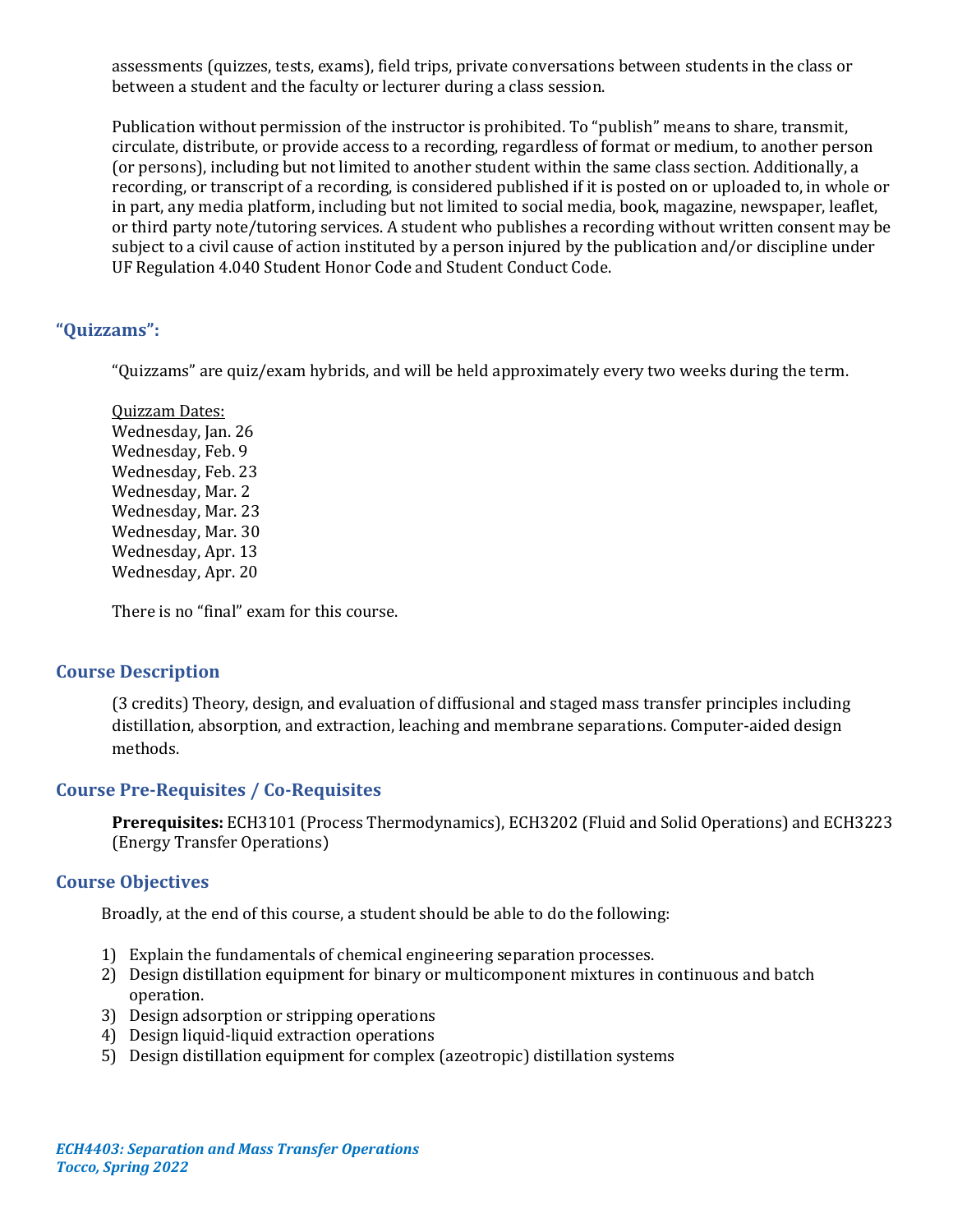assessments (quizzes, tests, exams), field trips, private conversations between students in the class or between a student and the faculty or lecturer during a class session.

Publication without permission of the instructor is prohibited. To "publish" means to share, transmit, circulate, distribute, or provide access to a recording, regardless of format or medium, to another person (or persons), including but not limited to another student within the same class section. Additionally, a recording, or transcript of a recording, is considered published if it is posted on or uploaded to, in whole or in part, any media platform, including but not limited to social media, book, magazine, newspaper, leaflet, or third party note/tutoring services. A student who publishes a recording without written consent may be subject to a civil cause of action instituted by a person injured by the publication and/or discipline under UF Regulation 4.040 Student Honor Code and Student Conduct Code.

# **"Quizzams":**

"Quizzams" are quiz/exam hybrids, and will be held approximately every two weeks during the term.

Quizzam Dates: Wednesday, Jan. 26 Wednesday, Feb. 9 Wednesday, Feb. 23 Wednesday, Mar. 2 Wednesday, Mar. 23 Wednesday, Mar. 30 Wednesday, Apr. 13 Wednesday, Apr. 20

There is no "final" exam for this course.

### **Course Description**

(3 credits) Theory, design, and evaluation of diffusional and staged mass transfer principles including distillation, absorption, and extraction, leaching and membrane separations. Computer-aided design methods.

# **Course Pre-Requisites / Co-Requisites**

**Prerequisites:** ECH3101 (Process Thermodynamics), ECH3202 (Fluid and Solid Operations) and ECH3223 (Energy Transfer Operations)

# **Course Objectives**

Broadly, at the end of this course, a student should be able to do the following:

- 1) Explain the fundamentals of chemical engineering separation processes.
- 2) Design distillation equipment for binary or multicomponent mixtures in continuous and batch operation.
- 3) Design adsorption or stripping operations
- 4) Design liquid-liquid extraction operations
- 5) Design distillation equipment for complex (azeotropic) distillation systems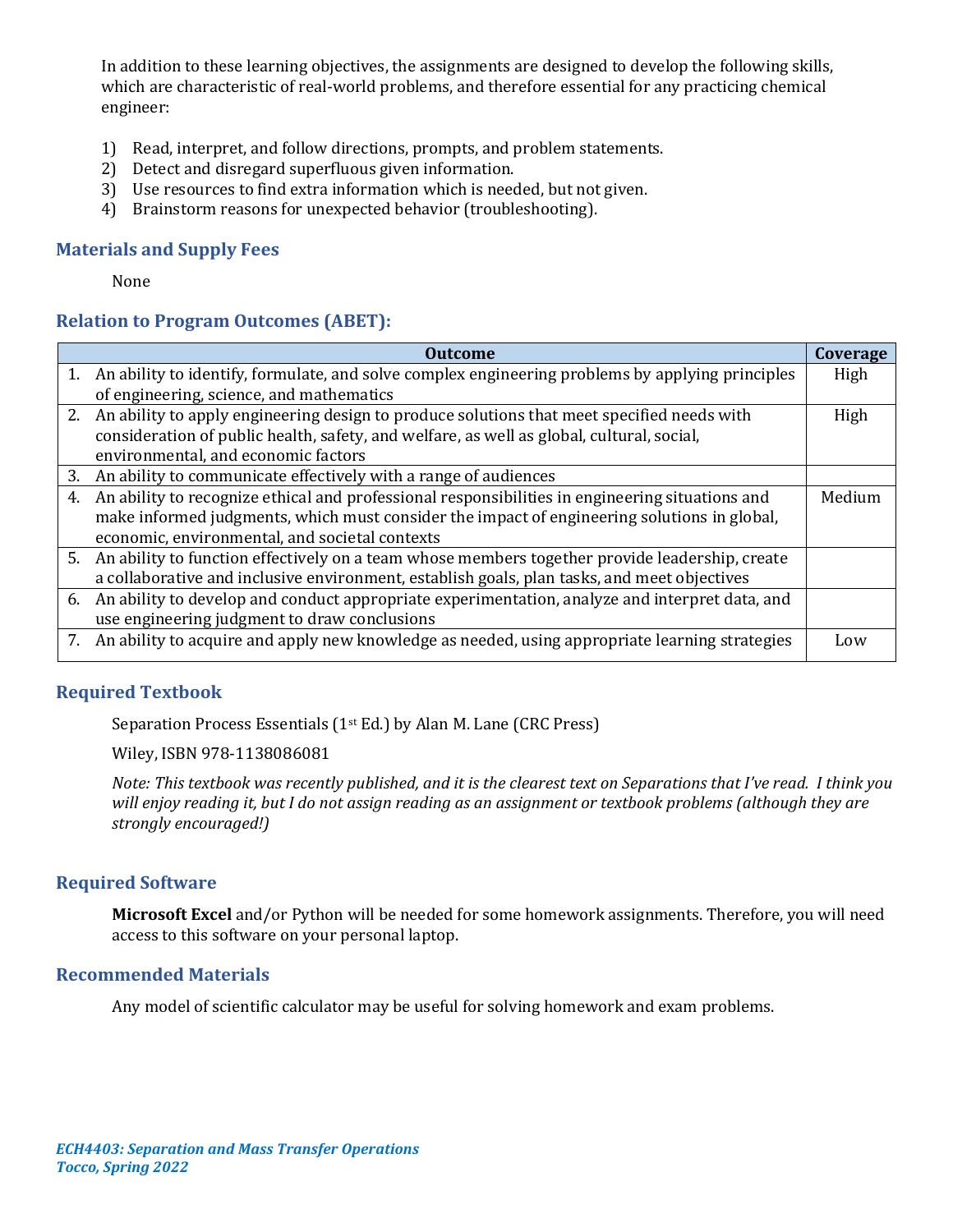In addition to these learning objectives, the assignments are designed to develop the following skills, which are characteristic of real-world problems, and therefore essential for any practicing chemical engineer:

- 1) Read, interpret, and follow directions, prompts, and problem statements.
- 2) Detect and disregard superfluous given information.
- 3) Use resources to find extra information which is needed, but not given.
- 4) Brainstorm reasons for unexpected behavior (troubleshooting).

### **Materials and Supply Fees**

None

# **Relation to Program Outcomes (ABET):**

|    | Outcome                                                                                             | Coverage |
|----|-----------------------------------------------------------------------------------------------------|----------|
|    | 1. An ability to identify, formulate, and solve complex engineering problems by applying principles | High     |
|    | of engineering, science, and mathematics                                                            |          |
|    | 2. An ability to apply engineering design to produce solutions that meet specified needs with       | High     |
|    | consideration of public health, safety, and welfare, as well as global, cultural, social,           |          |
|    | environmental, and economic factors                                                                 |          |
| 3. | An ability to communicate effectively with a range of audiences                                     |          |
| 4. | An ability to recognize ethical and professional responsibilities in engineering situations and     | Medium   |
|    | make informed judgments, which must consider the impact of engineering solutions in global,         |          |
|    | economic, environmental, and societal contexts                                                      |          |
|    | 5. An ability to function effectively on a team whose members together provide leadership, create   |          |
|    | a collaborative and inclusive environment, establish goals, plan tasks, and meet objectives         |          |
|    | 6. An ability to develop and conduct appropriate experimentation, analyze and interpret data, and   |          |
|    | use engineering judgment to draw conclusions                                                        |          |
|    | 7. An ability to acquire and apply new knowledge as needed, using appropriate learning strategies   | Low      |
|    |                                                                                                     |          |

# **Required Textbook**

Separation Process Essentials (1st Ed.) by Alan M. Lane (CRC Press)

Wiley, ISBN 978-1138086081

*Note: This textbook was recently published, and it is the clearest text on Separations that I've read. I think you will enjoy reading it, but I do not assign reading as an assignment or textbook problems (although they are strongly encouraged!)*

### **Required Software**

**Microsoft Excel** and/or Python will be needed for some homework assignments. Therefore, you will need access to this software on your personal laptop.

### **Recommended Materials**

Any model of scientific calculator may be useful for solving homework and exam problems.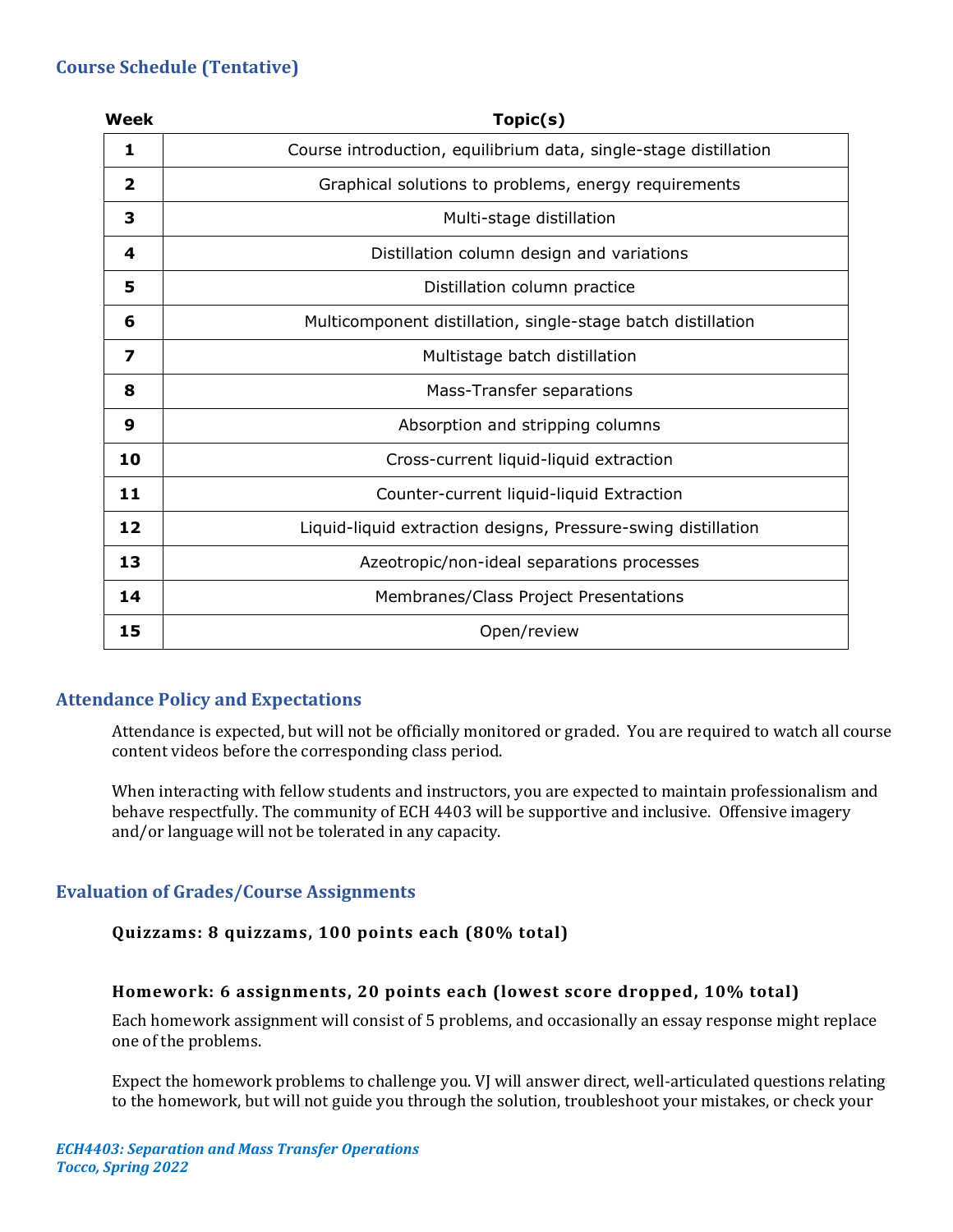# **Course Schedule (Tentative)**

| <b>Week</b>             | Topic(s)                                                         |
|-------------------------|------------------------------------------------------------------|
| 1                       | Course introduction, equilibrium data, single-stage distillation |
| $\overline{\mathbf{2}}$ | Graphical solutions to problems, energy requirements             |
| 3                       | Multi-stage distillation                                         |
| 4                       | Distillation column design and variations                        |
| 5                       | Distillation column practice                                     |
| 6                       | Multicomponent distillation, single-stage batch distillation     |
| 7                       | Multistage batch distillation                                    |
| 8                       | Mass-Transfer separations                                        |
| 9                       | Absorption and stripping columns                                 |
| 10                      | Cross-current liquid-liquid extraction                           |
| 11                      | Counter-current liquid-liquid Extraction                         |
| 12                      | Liquid-liquid extraction designs, Pressure-swing distillation    |
| 13                      | Azeotropic/non-ideal separations processes                       |
| 14                      | Membranes/Class Project Presentations                            |
| 15                      | Open/review                                                      |

# **Attendance Policy and Expectations**

Attendance is expected, but will not be officially monitored or graded. You are required to watch all course content videos before the corresponding class period.

When interacting with fellow students and instructors, you are expected to maintain professionalism and behave respectfully. The community of ECH 4403 will be supportive and inclusive. Offensive imagery and/or language will not be tolerated in any capacity.

# **Evaluation of Grades/Course Assignments**

# **Quizzams: 8 quizzams, 100 points each (80% total)**

### **Homework: 6 assignments, 20 points each (lowest score dropped, 10% total)**

Each homework assignment will consist of 5 problems, and occasionally an essay response might replace one of the problems.

Expect the homework problems to challenge you. VJ will answer direct, well-articulated questions relating to the homework, but will not guide you through the solution, troubleshoot your mistakes, or check your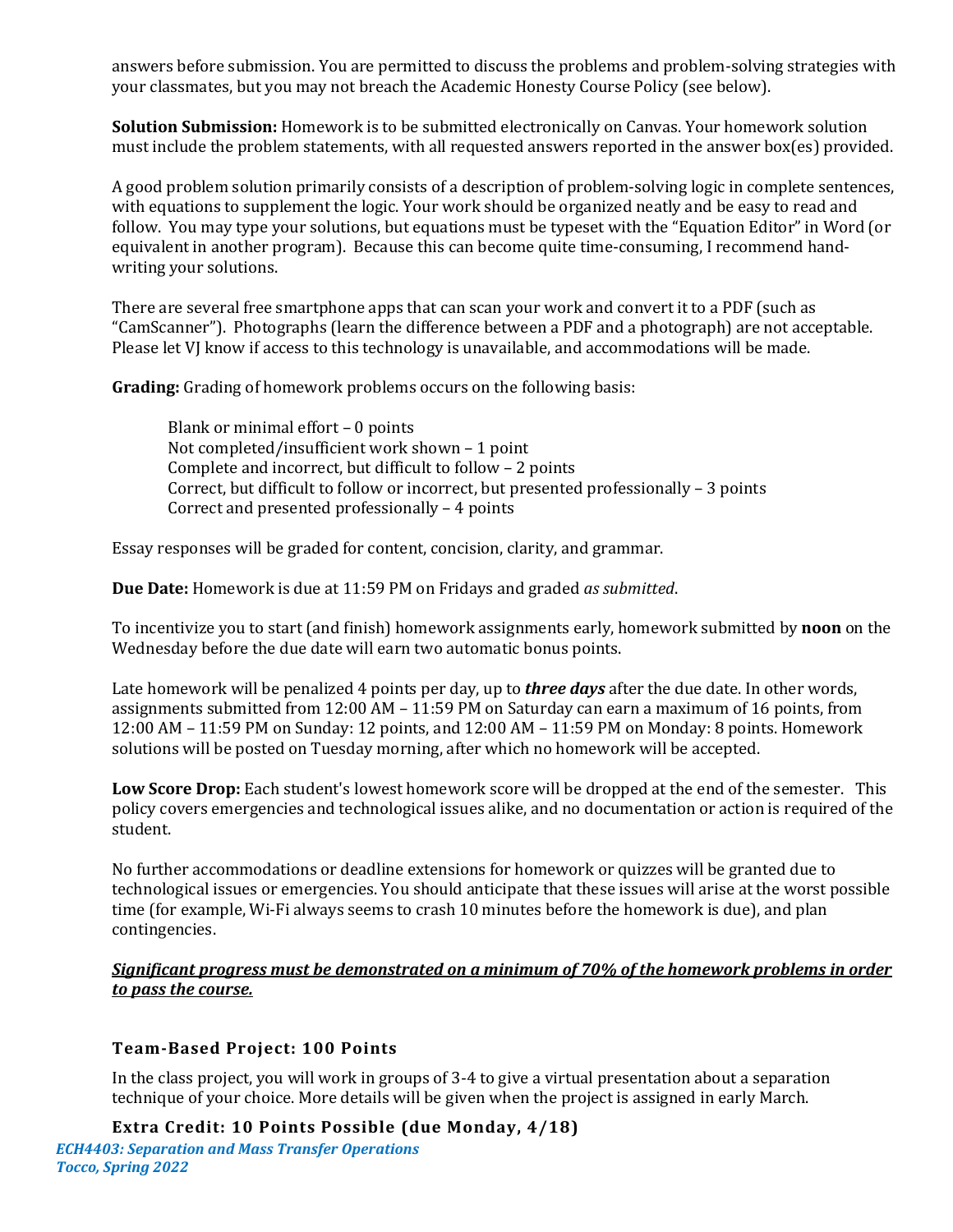answers before submission. You are permitted to discuss the problems and problem-solving strategies with your classmates, but you may not breach the Academic Honesty Course Policy (see below).

**Solution Submission:** Homework is to be submitted electronically on Canvas. Your homework solution must include the problem statements, with all requested answers reported in the answer box(es) provided.

A good problem solution primarily consists of a description of problem-solving logic in complete sentences, with equations to supplement the logic. Your work should be organized neatly and be easy to read and follow. You may type your solutions, but equations must be typeset with the "Equation Editor" in Word (or equivalent in another program). Because this can become quite time-consuming, I recommend handwriting your solutions.

There are several free smartphone apps that can scan your work and convert it to a PDF (such as "CamScanner"). Photographs (learn the difference between a PDF and a photograph) are not acceptable. Please let VJ know if access to this technology is unavailable, and accommodations will be made.

**Grading:** Grading of homework problems occurs on the following basis:

Blank or minimal effort – 0 points Not completed/insufficient work shown – 1 point Complete and incorrect, but difficult to follow – 2 points Correct, but difficult to follow or incorrect, but presented professionally – 3 points Correct and presented professionally – 4 points

Essay responses will be graded for content, concision, clarity, and grammar.

**Due Date:** Homework is due at 11:59 PM on Fridays and graded *as submitted*.

To incentivize you to start (and finish) homework assignments early, homework submitted by **noon** on the Wednesday before the due date will earn two automatic bonus points.

Late homework will be penalized 4 points per day, up to *three days* after the due date. In other words, assignments submitted from 12:00 AM – 11:59 PM on Saturday can earn a maximum of 16 points, from 12:00 AM – 11:59 PM on Sunday: 12 points, and 12:00 AM – 11:59 PM on Monday: 8 points. Homework solutions will be posted on Tuesday morning, after which no homework will be accepted.

**Low Score Drop:** Each student's lowest homework score will be dropped at the end of the semester. This policy covers emergencies and technological issues alike, and no documentation or action is required of the student.

No further accommodations or deadline extensions for homework or quizzes will be granted due to technological issues or emergencies. You should anticipate that these issues will arise at the worst possible time (for example, Wi-Fi always seems to crash 10 minutes before the homework is due), and plan contingencies.

### *Significant progress must be demonstrated on a minimum of 70% of the homework problems in order to pass the course.*

### **Team-Based Project: 100 Points**

In the class project, you will work in groups of 3-4 to give a virtual presentation about a separation technique of your choice. More details will be given when the project is assigned in early March.

*ECH4403: Separation and Mass Transfer Operations Tocco, Spring 2022* **Extra Credit: 10 Points Possible (due Monday, 4/18)**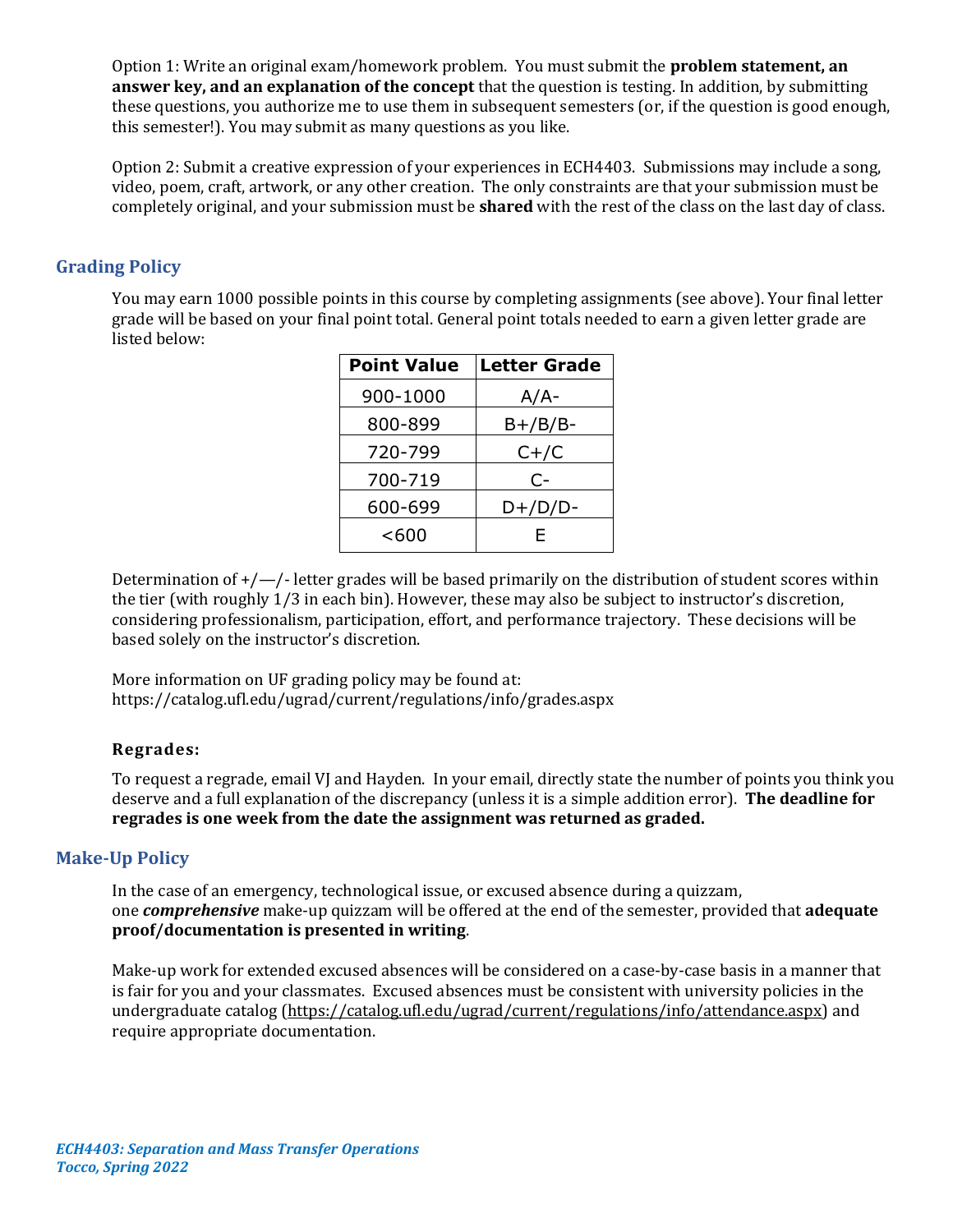Option 1: Write an original exam/homework problem. You must submit the **problem statement, an answer key, and an explanation of the concept** that the question is testing. In addition, by submitting these questions, you authorize me to use them in subsequent semesters (or, if the question is good enough, this semester!). You may submit as many questions as you like.

Option 2: Submit a creative expression of your experiences in ECH4403. Submissions may include a song, video, poem, craft, artwork, or any other creation. The only constraints are that your submission must be completely original, and your submission must be **shared** with the rest of the class on the last day of class.

### **Grading Policy**

You may earn 1000 possible points in this course by completing assignments (see above). Your final letter grade will be based on your final point total. General point totals needed to earn a given letter grade are listed below:

| <b>Point Value</b> | <b>Letter Grade</b> |
|--------------------|---------------------|
| 900-1000           | $A/A-$              |
| 800-899            | $B+/B/B-$           |
| 720-799            | $C+ / C$            |
| 700-719            | $C-$                |
| 600-699            | $D+/D/D-$           |
| < 600              | F                   |

Determination of  $+/-/-$  letter grades will be based primarily on the distribution of student scores within the tier (with roughly 1/3 in each bin). However, these may also be subject to instructor's discretion, considering professionalism, participation, effort, and performance trajectory. These decisions will be based solely on the instructor's discretion.

More information on UF grading policy may be found at: <https://catalog.ufl.edu/ugrad/current/regulations/info/grades.aspx>

### **Regrades:**

To request a regrade, email VJ and Hayden. In your email, directly state the number of points you think you deserve and a full explanation of the discrepancy (unless it is a simple addition error). **The deadline for regrades is one week from the date the assignment was returned as graded.**

#### **Make-Up Policy**

In the case of an emergency, technological issue, or excused absence during a quizzam, one *comprehensive* make-up quizzam will be offered at the end of the semester, provided that **adequate proof/documentation is presented in writing**.

Make-up work for extended excused absences will be considered on a case-by-case basis in a manner that is fair for you and your classmates. Excused absences must be consistent with university policies in the undergraduate catalog [\(https://catalog.ufl.edu/ugrad/current/regulations/info/attendance.aspx\)](https://catalog.ufl.edu/ugrad/current/regulations/info/attendance.aspx) and require appropriate documentation.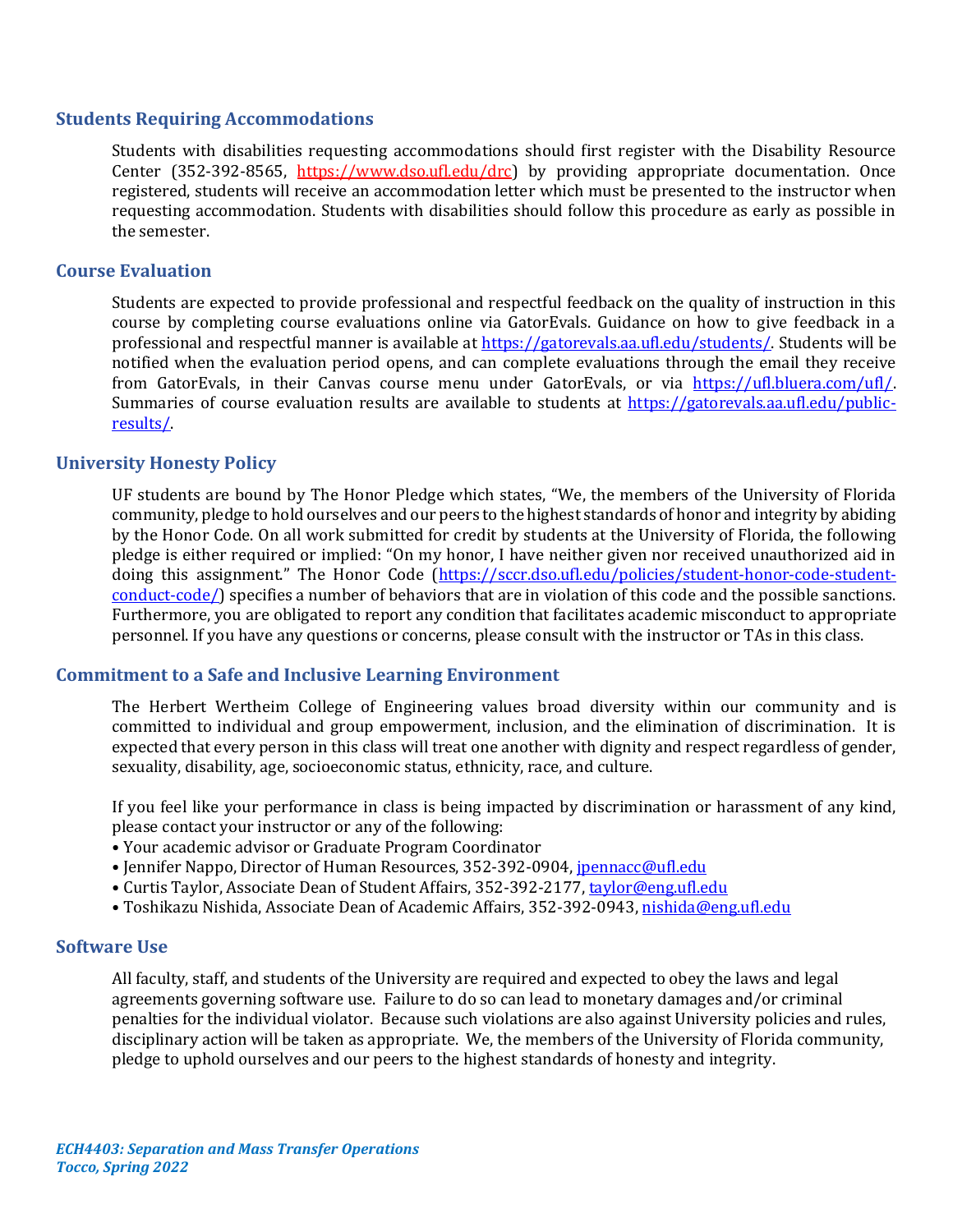### **Students Requiring Accommodations**

Students with disabilities requesting accommodations should first register with the Disability Resource Center (352-392-8565, https://www.dso.ufl.edu/drc) by providing appropriate documentation. Once registered, students will receive an accommodation letter which must be presented to the instructor when requesting accommodation. Students with disabilities should follow this procedure as early as possible in the semester.

### **Course Evaluation**

Students are expected to provide professional and respectful feedback on the quality of instruction in this course by completing course evaluations online via GatorEvals. Guidance on how to give feedback in a professional and respectful manner is available at [https://gatorevals.aa.ufl.edu/students/.](https://gatorevals.aa.ufl.edu/students/) Students will be notified when the evaluation period opens, and can complete evaluations through the email they receive from GatorEvals, in their Canvas course menu under GatorEvals, or via [https://ufl.bluera.com/ufl/.](https://ufl.bluera.com/ufl/) Summaries of course evaluation results are available to students at [https://gatorevals.aa.ufl.edu/public](https://gatorevals.aa.ufl.edu/public-results/)[results/.](https://gatorevals.aa.ufl.edu/public-results/)

### **University Honesty Policy**

UF students are bound by The Honor Pledge which states, "We, the members of the University of Florida community, pledge to hold ourselves and our peers to the highest standards of honor and integrity by abiding by the Honor Code. On all work submitted for credit by students at the University of Florida, the following pledge is either required or implied: "On my honor, I have neither given nor received unauthorized aid in doing this assignment." The Honor Code ([https://sccr.dso.ufl.edu/policies/student-honor-code-student](https://sccr.dso.ufl.edu/policies/student-honor-code-student-conduct-code/)[conduct-code/\)](https://sccr.dso.ufl.edu/policies/student-honor-code-student-conduct-code/) specifies a number of behaviors that are in violation of this code and the possible sanctions. Furthermore, you are obligated to report any condition that facilitates academic misconduct to appropriate personnel. If you have any questions or concerns, please consult with the instructor or TAs in this class.

#### **Commitment to a Safe and Inclusive Learning Environment**

The Herbert Wertheim College of Engineering values broad diversity within our community and is committed to individual and group empowerment, inclusion, and the elimination of discrimination. It is expected that every person in this class will treat one another with dignity and respect regardless of gender, sexuality, disability, age, socioeconomic status, ethnicity, race, and culture.

If you feel like your performance in class is being impacted by discrimination or harassment of any kind, please contact your instructor or any of the following:

- Your academic advisor or Graduate Program Coordinator
- Jennifer Nappo, Director of Human Resources, 352-392-0904[, jpennacc@ufl.edu](mailto:jpennacc@ufl.edu)
- Curtis Taylor, Associate Dean of Student Affairs, 352-392-2177[, taylor@eng.ufl.edu](mailto:taylor@eng.ufl.edu)
- · Toshikazu Nishida, Associate Dean of Academic Affairs, 352-392-0943[, nishida@eng.ufl.edu](mailto:nishida@eng.ufl.edu)

#### **Software Use**

All faculty, staff, and students of the University are required and expected to obey the laws and legal agreements governing software use. Failure to do so can lead to monetary damages and/or criminal penalties for the individual violator. Because such violations are also against University policies and rules, disciplinary action will be taken as appropriate. We, the members of the University of Florida community, pledge to uphold ourselves and our peers to the highest standards of honesty and integrity.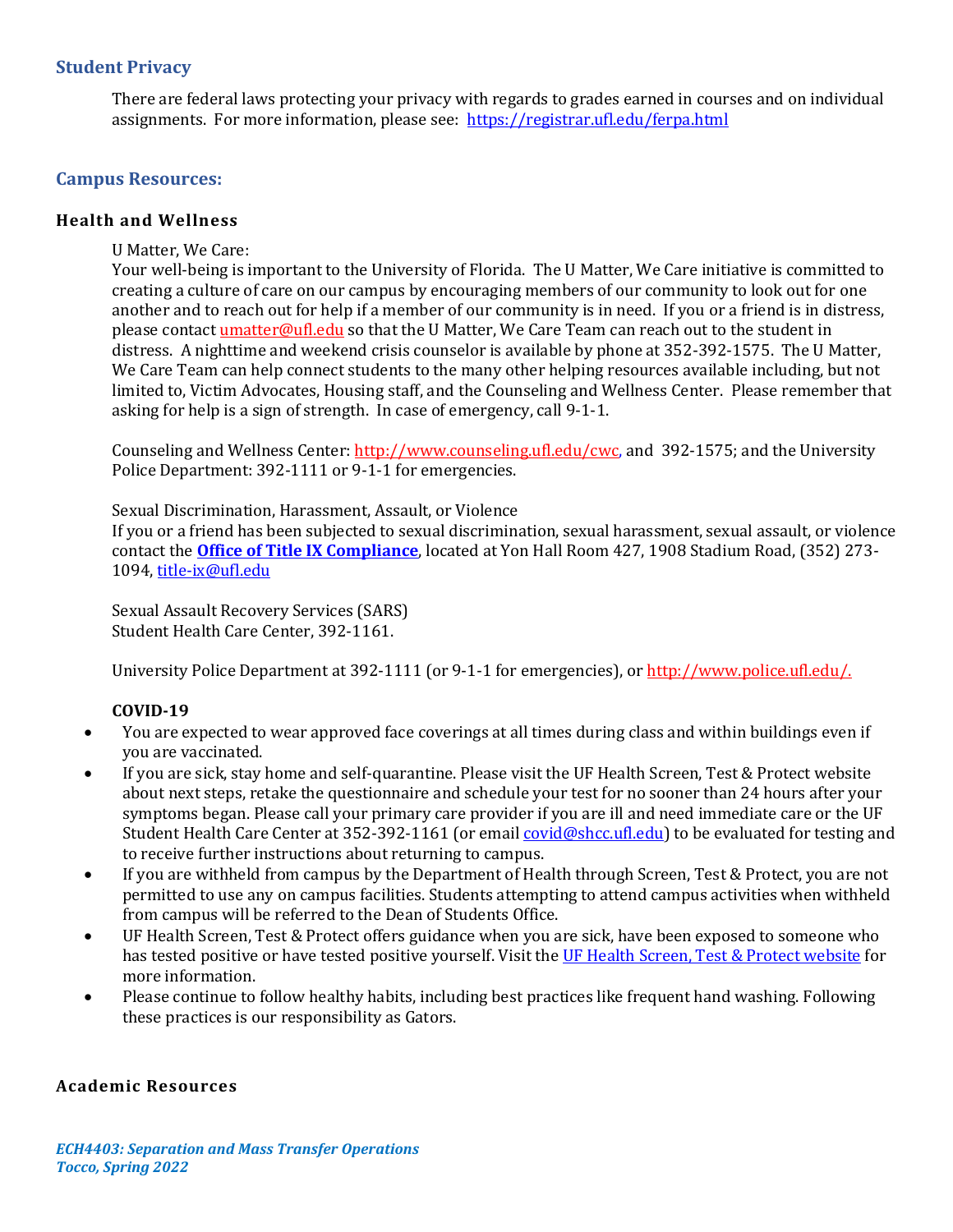# **Student Privacy**

There are federal laws protecting your privacy with regards to grades earned in courses and on individual assignments. For more information, please see: <https://registrar.ufl.edu/ferpa.html>

### **Campus Resources:**

#### **Health and Wellness**

U Matter, We Care:

Your well-being is important to the University of Florida. The U Matter, We Care initiative is committed to creating a culture of care on our campus by encouraging members of our community to look out for one another and to reach out for help if a member of our community is in need. If you or a friend is in distress, please contact **umatter@ufl.edu** so that the U Matter, We Care Team can reach out to the student in distress. A nighttime and weekend crisis counselor is available by phone at 352-392-1575. The U Matter, We Care Team can help connect students to the many other helping resources available including, but not limited to, Victim Advocates, Housing staff, and the Counseling and Wellness Center. Please remember that asking for help is a sign of strength. In case of emergency, call 9-1-1.

Counseling and Wellness Center: [http://www.counseling.ufl.edu/cwc,](http://www.counseling.ufl.edu/cwc) and 392-1575; and the University Police Department: 392-1111 or 9-1-1 for emergencies.

Sexual Discrimination, Harassment, Assault, or Violence

If you or a friend has been subjected to sexual discrimination, sexual harassment, sexual assault, or violence contact the **[Office of Title IX Compliance](https://titleix.ufl.edu/)**, located at Yon Hall Room 427, 1908 Stadium Road, (352) 273- 1094, [title-ix@ufl.edu](mailto:title-ix@ufl.edu)

Sexual Assault Recovery Services (SARS) Student Health Care Center, 392-1161.

University Police Department at 392-1111 (or 9-1-1 for emergencies), o[r http://www.police.ufl.edu/.](http://www.police.ufl.edu/)

#### **COVID-19**

- You are expected to wear approved face coverings at all times during class and within buildings even if you are vaccinated.
- If you are sick, stay home and self-quarantine. Please visit the UF Health Screen, Test & Protect website about next steps, retake the questionnaire and schedule your test for no sooner than 24 hours after your symptoms began. Please call your primary care provider if you are ill and need immediate care or the UF Student Health Care Center at 352-392-1161 (or emai[l covid@shcc.ufl.edu\)](mailto:covid@shcc.ufl.edu) to be evaluated for testing and to receive further instructions about returning to campus.
- If you are withheld from campus by the Department of Health through Screen, Test & Protect, you are not permitted to use any on campus facilities. Students attempting to attend campus activities when withheld from campus will be referred to the Dean of Students Office.
- UF Health Screen, Test & Protect offers guidance when you are sick, have been exposed to someone who has tested positive or have tested positive yourself. Visit the [UF Health Screen, Test & Protect website](https://click.info.gator360.ufl.edu/?qs=8f0d5e01a3f7385148f144e2089093522a358a8d85cb9db73c31675d3c5e5c0d27748d40c212f544822551342f1912ea5b4f2b890d5952e8) for more information.
- Please continue to follow healthy habits, including best practices like frequent hand washing. Following these practices is our responsibility as Gators.

#### **Academic Resources**